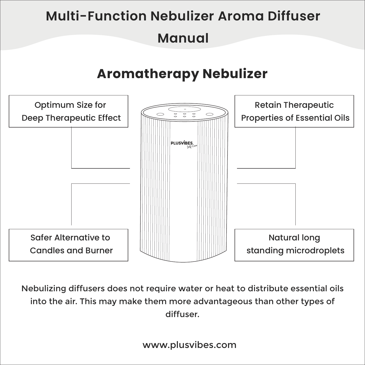

Nebulizing diffusers does not require water or heat to distribute essential oils into the air. This may make them more advantageous than other types of diffuser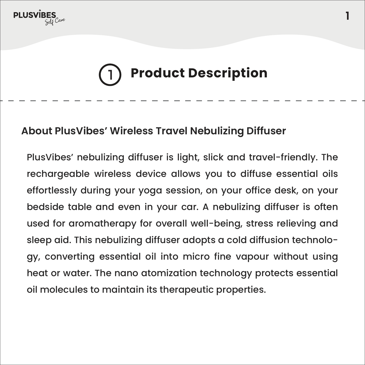

# **Product Description**

**1**

### **About PlusVibes' Wireless Travel Nebulizing Diffuser**

PlusVibes' nebulizing diffuser is light, slick and travel-friendly. The rechargeable wireless device allows you to diffuse essential oils effortlessly during your yoga session, on your office desk, on your bedside table and even in your car. A nebulizing diffuser is often used for aromatherapy for overall well-being, stress relieving and sleep aid. This nebulizing diffuser adopts a cold diffusion technology, converting essential oil into micro fine vapour without using heat or water. The nano atomization technology protects essential oil molecules to maintain its therapeutic properties.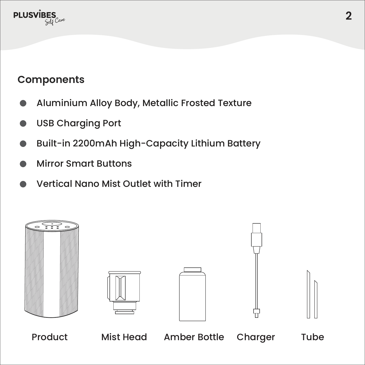

## **Components**

- Aluminium Alloy Body, Metallic Frosted Texture
- USB Charging Port
- Built-in 2200mAh High-Capacity Lithium Battery
- Mirror Smart Buttons
- Vertical Nano Mist Outlet with Timer

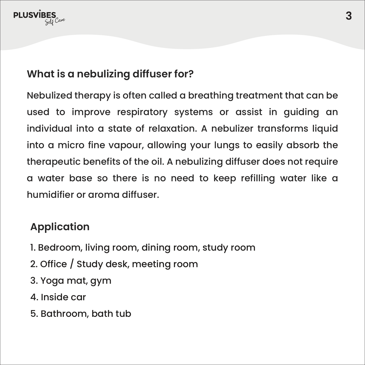

## **What is a nebulizing diffuser for?**

Nebulized therapy is often called a breathing treatment that can be used to improve respiratory systems or assist in guiding an individual into a state of relaxation. A nebulizer transforms liquid into a micro fine vapour, allowing your lungs to easily absorb the therapeutic benefits of the oil. A nebulizing diffuser does not require a water base so there is no need to keep refilling water like a humidifier or aroma diffuser.

### **Application**

- 1. Bedroom, living room, dining room, study room
- 2. Office / Study desk, meeting room
- 3. Yoga mat, gym
- 4. Inside car
- 5. Bathroom, bath tub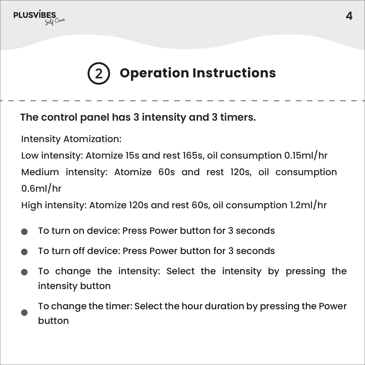

# **Operation Instructions**

**The control panel has 3 intensity and 3 timers.** 

Intensity Atomization:

Low intensity: Atomize 15s and rest 165s, oil consumption 0.15ml/hr Medium intensity: Atomize 60s and rest 120s, oil consumption 0.6ml/hr

High intensity: Atomize 120s and rest 60s, oil consumption 1.2ml/hr

- To turn on device: Press Power button for 3 seconds
- To turn off device: Press Power button for 3 seconds
- To change the intensity: Select the intensity by pressing the intensity button
- To change the timer: Select the hour duration by pressing the Power button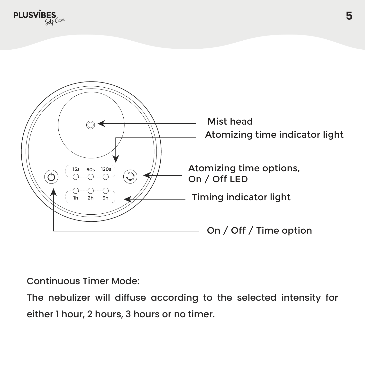

Continuous Timer Mode:

The nebulizer will diffuse according to the selected intensity for either 1 hour, 2 hours, 3 hours or no timer.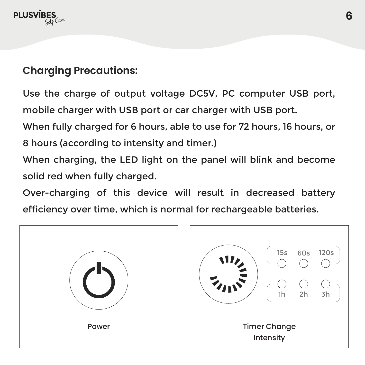

## **Charging Precautions:**

Use the charge of output voltage DC5V, PC computer USB port, mobile charger with USB port or car charger with USB port.

When fully charged for 6 hours, able to use for 72 hours, 16 hours, or

8 hours (according to intensity and timer.)

When charging, the LED light on the panel will blink and become solid red when fully charged.

Over-charging of this device will result in decreased battery efficiency over time, which is normal for rechargeable batteries.

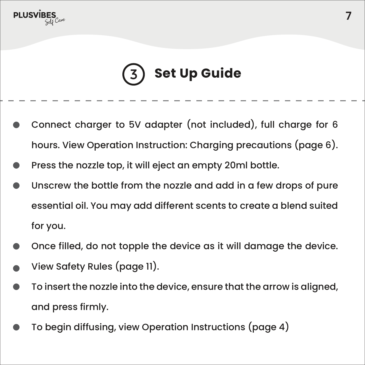

# **Set Up Guide**

- Connect charger to 5V adapter (not included), full charge for 6 hours. View Operation Instruction: Charging precautions (page 6).
- Press the nozzle top, it will eject an empty 20ml bottle.
- Unscrew the bottle from the nozzle and add in a few drops of pure essential oil. You may add different scents to create a blend suited for you.
- Once filled, do not topple the device as it will damage the device.
- View Safety Rules (page 11).
- To insert the nozzle into the device, ensure that the arrow is aligned, and press firmly.
- To begin diffusing, view Operation Instructions (page 4)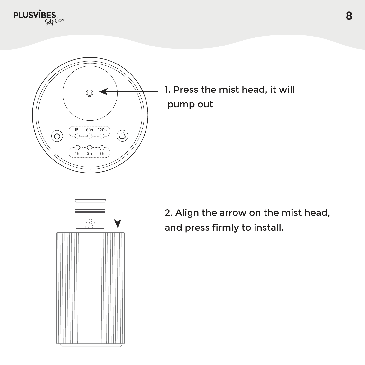$PLUSV\overline{BES}_{\text{Gil}^{C,per}}$ 



1. Press the mist head, it will pump out



2. Align the arrow on the mist head, and press firmly to install.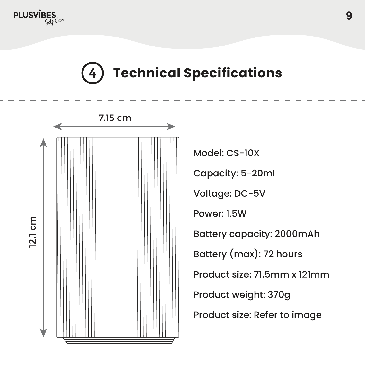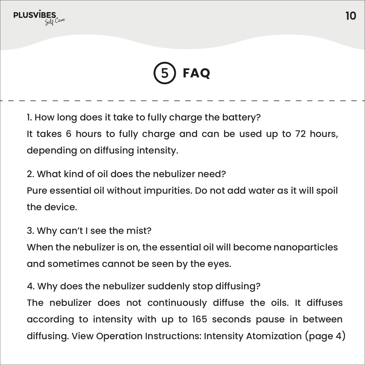



1. How long does it take to fully charge the battery? It takes 6 hours to fully charge and can be used up to 72 hours, depending on diffusing intensity.

2. What kind of oil does the nebulizer need?

Pure essential oil without impurities. Do not add water as it will spoil the device.

3. Why can't I see the mist?

When the nebulizer is on, the essential oil will become nanoparticles and sometimes cannot be seen by the eyes.

4. Why does the nebulizer suddenly stop diffusing?

The nebulizer does not continuously diffuse the oils. It diffuses according to intensity with up to 165 seconds pause in between diffusing. View Operation Instructions: Intensity Atomization (page 4)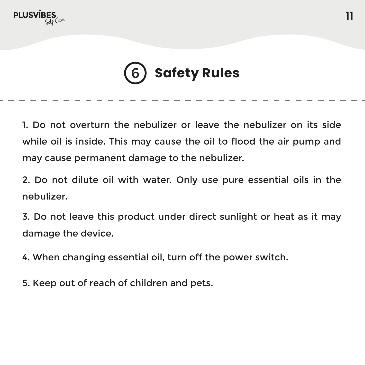

#### **Safety Rules**6

1. Do not overturn the nebulizer or leave the nebulizer on its side while oil is inside. This may cause the oil to flood the air pump and may cause permanent damage to the nebulizer.

2. Do not dilute oil with water. Only use pure essential oils in the nebulizer.

3. Do not leave this product under direct sunlight or heat as it may damage the device.

4. When changing essential oil, turn off the power switch.

5. Keep out of reach of children and pets.